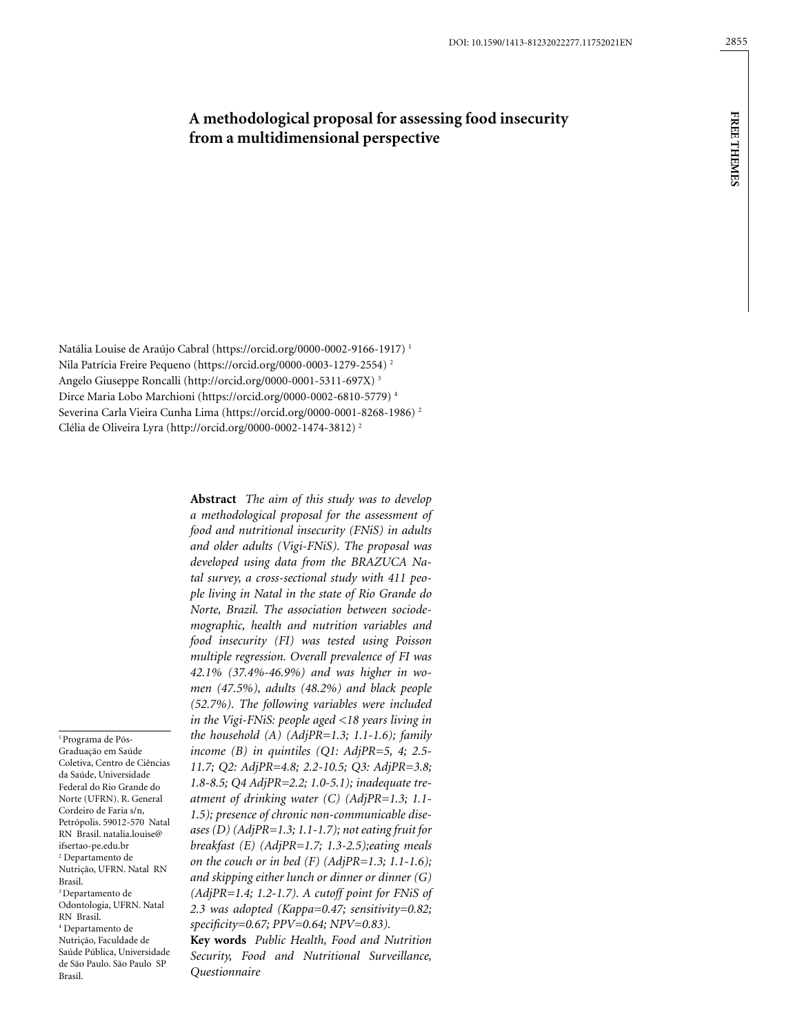# **A methodological proposal for assessing food insecurity from a multidimensional perspective**

Natália Louise de Araújo Cabral (https://orcid.org/0000-0002-9166-1917) 1 Nila Patrícia Freire Pequeno (https://orcid.org/0000-0003-1279-2554) 2 Angelo Giuseppe Roncalli (http://orcid.org/0000-0001-5311-697X) 3 Dirce Maria Lobo Marchioni (https://orcid.org/0000-0002-6810-5779) 4 Severina Carla Vieira Cunha Lima (https://orcid.org/0000-0001-8268-1986) 2 Clélia de Oliveira Lyra (http://orcid.org/0000-0002-1474-3812) 2

1 Programa de Pós-Graduação em Saúde Coletiva, Centro de Ciências da Saúde, Universidade Federal do Rio Grande do Norte (UFRN). R. General Cordeiro de Faria s/n, Petrópolis. 59012-570 Natal RN Brasil. natalia.louise@ ifsertao-pe.edu.br 2 Departamento de Nutrição, UFRN. Natal RN Brasil. 3 Departamento de Odontologia, UFRN. Natal RN Brasil. 4 Departamento de Nutrição, Faculdade de Saúde Pública, Universidade de São Paulo. São Paulo SP Brasil.

**Abstract** *The aim of this study was to develop a methodological proposal for the assessment of food and nutritional insecurity (FNiS) in adults and older adults (Vigi-FNiS). The proposal was developed using data from the BRAZUCA Natal survey, a cross-sectional study with 411 people living in Natal in the state of Rio Grande do Norte, Brazil. The association between sociodemographic, health and nutrition variables and food insecurity (FI) was tested using Poisson multiple regression. Overall prevalence of FI was 42.1% (37.4%-46.9%) and was higher in women (47.5%), adults (48.2%) and black people (52.7%). The following variables were included in the Vigi-FNiS: people aged <18 years living in the household (A) (AdjPR=1.3; 1.1-1.6); family income (B) in quintiles (Q1: AdjPR=5, 4; 2.5- 11.7; Q2: AdjPR=4.8; 2.2-10.5; Q3: AdjPR=3.8; 1.8-8.5; Q4 AdjPR=2.2; 1.0-5.1); inadequate treatment of drinking water (C) (AdjPR=1.3; 1.1- 1.5); presence of chronic non-communicable diseases (D) (AdjPR=1.3; 1.1-1.7); not eating fruit for breakfast (E) (AdjPR=1.7; 1.3-2.5);eating meals on the couch or in bed (F) (AdjPR=1.3; 1.1-1.6); and skipping either lunch or dinner or dinner (G) (AdjPR=1.4; 1.2-1.7). A cutoff point for FNiS of 2.3 was adopted (Kappa=0.47; sensitivity=0.82; specificity=0.67; PPV=0.64; NPV=0.83).*

**Key words** *Public Health, Food and Nutrition Security, Food and Nutritional Surveillance, Questionnaire*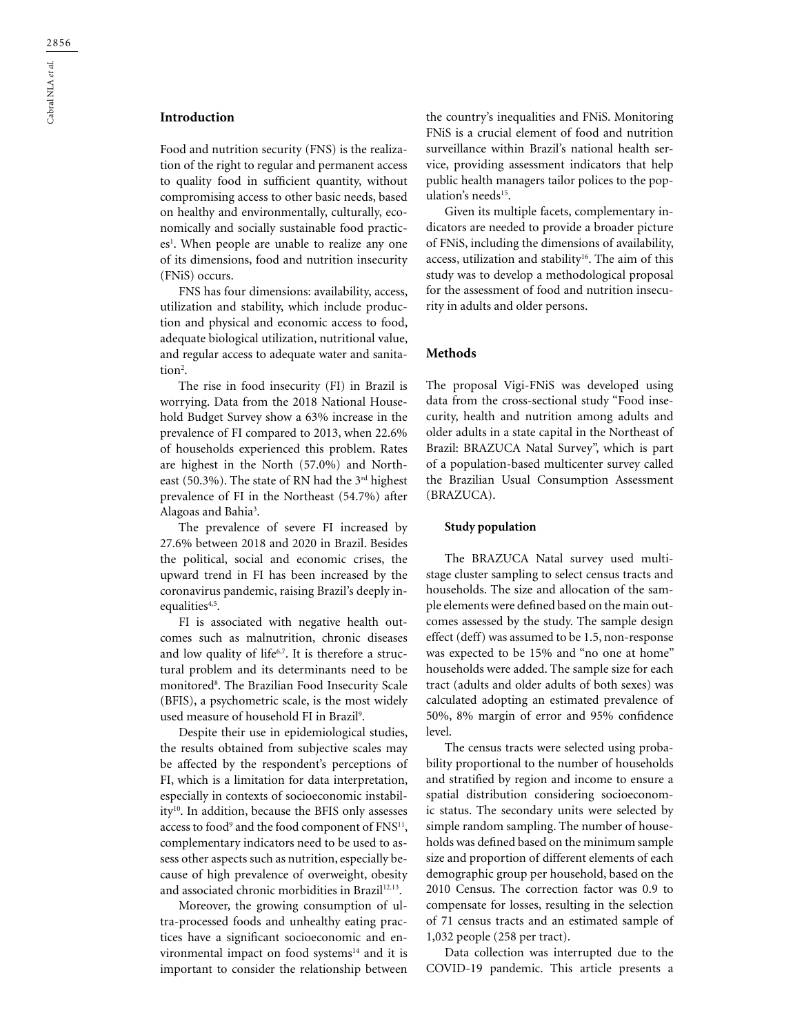## **Introduction**

Food and nutrition security (FNS) is the realization of the right to regular and permanent access to quality food in sufficient quantity, without compromising access to other basic needs, based on healthy and environmentally, culturally, economically and socially sustainable food practices<sup>1</sup>. When people are unable to realize any one of its dimensions, food and nutrition insecurity (FNiS) occurs.

FNS has four dimensions: availability, access, utilization and stability, which include production and physical and economic access to food, adequate biological utilization, nutritional value, and regular access to adequate water and sanita- $\text{tion}^2$ .

The rise in food insecurity (FI) in Brazil is worrying. Data from the 2018 National Household Budget Survey show a 63% increase in the prevalence of FI compared to 2013, when 22.6% of households experienced this problem. Rates are highest in the North (57.0%) and Northeast (50.3%). The state of RN had the 3<sup>rd</sup> highest prevalence of FI in the Northeast (54.7%) after Alagoas and Bahia<sup>3</sup>.

The prevalence of severe FI increased by 27.6% between 2018 and 2020 in Brazil. Besides the political, social and economic crises, the upward trend in FI has been increased by the coronavirus pandemic, raising Brazil's deeply inequalities<sup>4,5</sup>.

FI is associated with negative health outcomes such as malnutrition, chronic diseases and low quality of life<sup>6,7</sup>. It is therefore a structural problem and its determinants need to be monitored8 . The Brazilian Food Insecurity Scale (BFIS), a psychometric scale, is the most widely used measure of household FI in Brazil<sup>9</sup>.

Despite their use in epidemiological studies, the results obtained from subjective scales may be affected by the respondent's perceptions of FI, which is a limitation for data interpretation, especially in contexts of socioeconomic instability<sup>10</sup>. In addition, because the BFIS only assesses access to food<sup>9</sup> and the food component of FNS<sup>11</sup>, complementary indicators need to be used to assess other aspects such as nutrition, especially because of high prevalence of overweight, obesity and associated chronic morbidities in Brazil<sup>12.13</sup>.

Moreover, the growing consumption of ultra-processed foods and unhealthy eating practices have a significant socioeconomic and environmental impact on food systems<sup>14</sup> and it is important to consider the relationship between the country's inequalities and FNiS. Monitoring FNiS is a crucial element of food and nutrition surveillance within Brazil's national health service, providing assessment indicators that help public health managers tailor polices to the population's needs<sup>15</sup>.

Given its multiple facets, complementary indicators are needed to provide a broader picture of FNiS, including the dimensions of availability, access, utilization and stability<sup>16</sup>. The aim of this study was to develop a methodological proposal for the assessment of food and nutrition insecurity in adults and older persons.

### **Methods**

The proposal Vigi-FNiS was developed using data from the cross-sectional study "Food insecurity, health and nutrition among adults and older adults in a state capital in the Northeast of Brazil: BRAZUCA Natal Survey", which is part of a population-based multicenter survey called the Brazilian Usual Consumption Assessment (BRAZUCA).

#### **Study population**

The BRAZUCA Natal survey used multistage cluster sampling to select census tracts and households. The size and allocation of the sample elements were defined based on the main outcomes assessed by the study. The sample design effect (deff) was assumed to be 1.5, non-response was expected to be 15% and "no one at home" households were added. The sample size for each tract (adults and older adults of both sexes) was calculated adopting an estimated prevalence of 50%, 8% margin of error and 95% confidence level.

The census tracts were selected using probability proportional to the number of households and stratified by region and income to ensure a spatial distribution considering socioeconomic status. The secondary units were selected by simple random sampling. The number of households was defined based on the minimum sample size and proportion of different elements of each demographic group per household, based on the 2010 Census. The correction factor was 0.9 to compensate for losses, resulting in the selection of 71 census tracts and an estimated sample of 1,032 people (258 per tract).

Data collection was interrupted due to the COVID-19 pandemic. This article presents a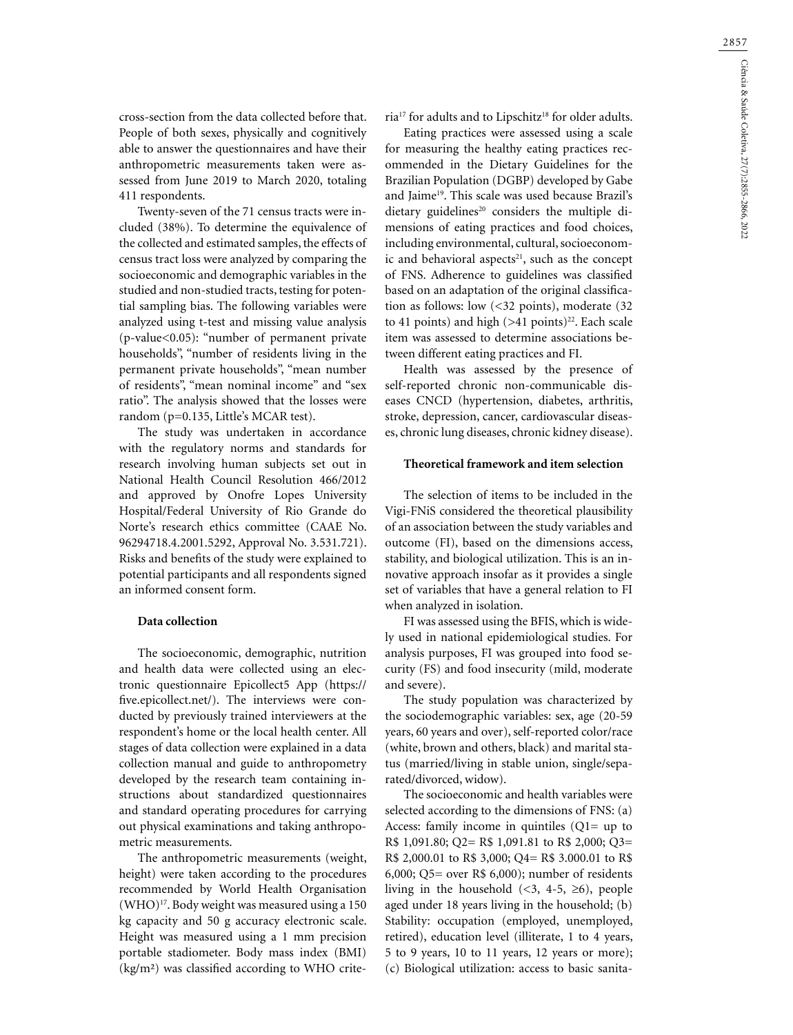cross-section from the data collected before that. People of both sexes, physically and cognitively able to answer the questionnaires and have their anthropometric measurements taken were assessed from June 2019 to March 2020, totaling 411 respondents.

Twenty-seven of the 71 census tracts were included (38%). To determine the equivalence of the collected and estimated samples, the effects of census tract loss were analyzed by comparing the socioeconomic and demographic variables in the studied and non-studied tracts, testing for potential sampling bias. The following variables were analyzed using t-test and missing value analysis (p-value<0.05): "number of permanent private households", "number of residents living in the permanent private households", "mean number of residents", "mean nominal income" and "sex ratio". The analysis showed that the losses were random (p=0.135, Little's MCAR test).

The study was undertaken in accordance with the regulatory norms and standards for research involving human subjects set out in National Health Council Resolution 466/2012 and approved by Onofre Lopes University Hospital/Federal University of Rio Grande do Norte's research ethics committee (CAAE No. 96294718.4.2001.5292, Approval No. 3.531.721). Risks and benefits of the study were explained to potential participants and all respondents signed an informed consent form.

#### **Data collection**

The socioeconomic, demographic, nutrition and health data were collected using an electronic questionnaire Epicollect5 App ([https://](https://five.epicollect.net/) [five.epicollect.net/](https://five.epicollect.net/)). The interviews were conducted by previously trained interviewers at the respondent's home or the local health center. All stages of data collection were explained in a data collection manual and guide to anthropometry developed by the research team containing instructions about standardized questionnaires and standard operating procedures for carrying out physical examinations and taking anthropometric measurements.

The anthropometric measurements (weight, height) were taken according to the procedures recommended by World Health Organisation (WHO)17. Body weight was measured using a 150 kg capacity and 50 g accuracy electronic scale. Height was measured using a 1 mm precision portable stadiometer. Body mass index (BMI) (kg/m²) was classified according to WHO criteria<sup>17</sup> for adults and to Lipschitz<sup>18</sup> for older adults.

Eating practices were assessed using a scale for measuring the healthy eating practices recommended in the Dietary Guidelines for the Brazilian Population (DGBP) developed by Gabe and Jaime<sup>19</sup>. This scale was used because Brazil's dietary guidelines<sup>20</sup> considers the multiple dimensions of eating practices and food choices, including environmental, cultural, socioeconomic and behavioral aspects $21$ , such as the concept of FNS. Adherence to guidelines was classified based on an adaptation of the original classification as follows: low (<32 points), moderate (32 to 41 points) and high  $(>41 \text{ points})^{22}$ . Each scale item was assessed to determine associations between different eating practices and FI.

Health was assessed by the presence of self-reported chronic non-communicable diseases CNCD (hypertension, diabetes, arthritis, stroke, depression, cancer, cardiovascular diseases, chronic lung diseases, chronic kidney disease).

#### **Theoretical framework and item selection**

The selection of items to be included in the Vigi-FNiS considered the theoretical plausibility of an association between the study variables and outcome (FI), based on the dimensions access, stability, and biological utilization. This is an innovative approach insofar as it provides a single set of variables that have a general relation to FI when analyzed in isolation.

FI was assessed using the BFIS, which is widely used in national epidemiological studies. For analysis purposes, FI was grouped into food security (FS) and food insecurity (mild, moderate and severe).

The study population was characterized by the sociodemographic variables: sex, age (20-59 years, 60 years and over), self-reported color/race (white, brown and others, black) and marital status (married/living in stable union, single/separated/divorced, widow).

The socioeconomic and health variables were selected according to the dimensions of FNS: (a) Access: family income in quintiles  $(Q1=$  up to R\$ 1,091.80; Q2= R\$ 1,091.81 to R\$ 2,000; Q3= R\$ 2,000.01 to R\$ 3,000; Q4= R\$ 3.000.01 to R\$ 6,000; Q5= over R\$ 6,000); number of residents living in the household  $(\leq 3, 4-5, \geq 6)$ , people aged under 18 years living in the household; (b) Stability: occupation (employed, unemployed, retired), education level (illiterate, 1 to 4 years, 5 to 9 years, 10 to 11 years, 12 years or more); (c) Biological utilization: access to basic sanita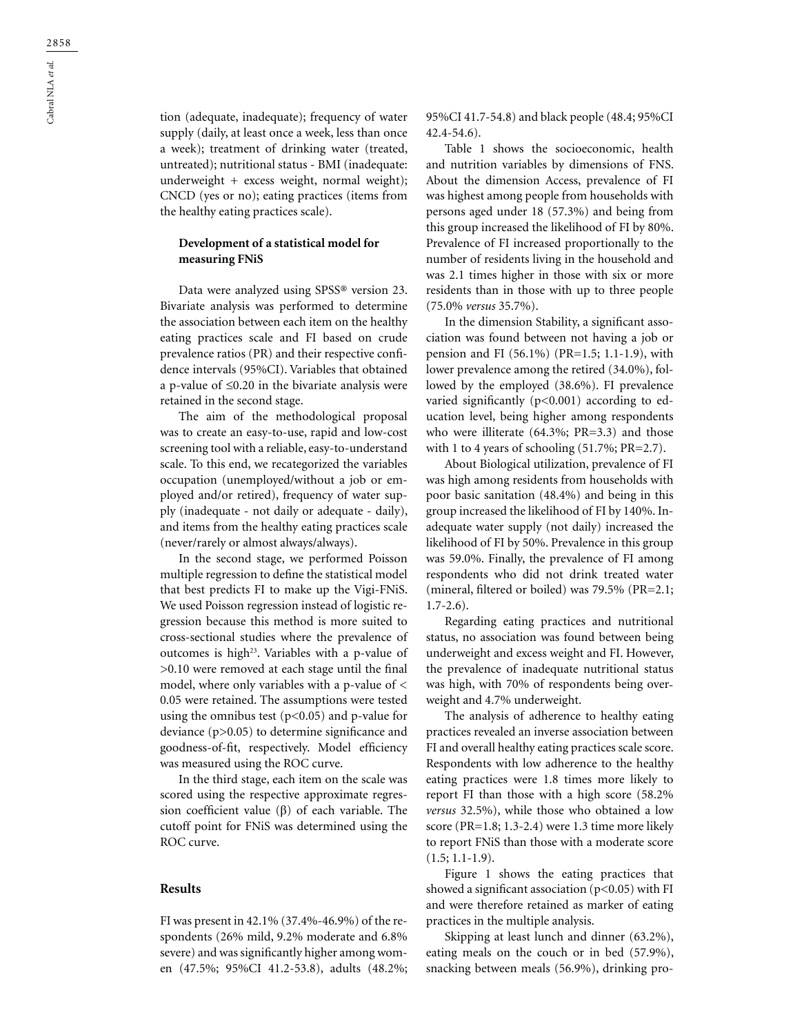tion (adequate, inadequate); frequency of water supply (daily, at least once a week, less than once a week); treatment of drinking water (treated, untreated); nutritional status - BMI (inadequate: underweight + excess weight, normal weight); CNCD (yes or no); eating practices (items from the healthy eating practices scale).

### **Development of a statistical model for measuring FNiS**

Data were analyzed using SPSS® version 23. Bivariate analysis was performed to determine the association between each item on the healthy eating practices scale and FI based on crude prevalence ratios (PR) and their respective confidence intervals (95%CI). Variables that obtained a p-value of ≤0.20 in the bivariate analysis were retained in the second stage.

The aim of the methodological proposal was to create an easy-to-use, rapid and low-cost screening tool with a reliable, easy-to-understand scale. To this end, we recategorized the variables occupation (unemployed/without a job or employed and/or retired), frequency of water supply (inadequate - not daily or adequate - daily), and items from the healthy eating practices scale (never/rarely or almost always/always).

In the second stage, we performed Poisson multiple regression to define the statistical model that best predicts FI to make up the Vigi-FNiS. We used Poisson regression instead of logistic regression because this method is more suited to cross-sectional studies where the prevalence of outcomes is high<sup>23</sup>. Variables with a p-value of >0.10 were removed at each stage until the final model, where only variables with a p-value of < 0.05 were retained. The assumptions were tested using the omnibus test  $(p<0.05)$  and p-value for deviance (p>0.05) to determine significance and goodness-of-fit, respectively. Model efficiency was measured using the ROC curve.

In the third stage, each item on the scale was scored using the respective approximate regression coefficient value  $(β)$  of each variable. The cutoff point for FNiS was determined using the ROC curve.

#### **Results**

FI was present in 42.1% (37.4%-46.9%) of the respondents (26% mild, 9.2% moderate and 6.8% severe) and was significantly higher among women (47.5%; 95%CI 41.2-53.8), adults (48.2%; 95%CI 41.7-54.8) and black people (48.4; 95%CI 42.4-54.6).

Table 1 shows the socioeconomic, health and nutrition variables by dimensions of FNS. About the dimension Access, prevalence of FI was highest among people from households with persons aged under 18 (57.3%) and being from this group increased the likelihood of FI by 80%. Prevalence of FI increased proportionally to the number of residents living in the household and was 2.1 times higher in those with six or more residents than in those with up to three people (75.0% *versus* 35.7%).

In the dimension Stability, a significant association was found between not having a job or pension and FI (56.1%) (PR=1.5; 1.1-1.9), with lower prevalence among the retired (34.0%), followed by the employed (38.6%). FI prevalence varied significantly  $(p<0.001)$  according to education level, being higher among respondents who were illiterate (64.3%; PR=3.3) and those with 1 to 4 years of schooling (51.7%; PR=2.7).

About Biological utilization, prevalence of FI was high among residents from households with poor basic sanitation (48.4%) and being in this group increased the likelihood of FI by 140%. Inadequate water supply (not daily) increased the likelihood of FI by 50%. Prevalence in this group was 59.0%. Finally, the prevalence of FI among respondents who did not drink treated water (mineral, filtered or boiled) was 79.5% (PR=2.1; 1.7-2.6).

Regarding eating practices and nutritional status, no association was found between being underweight and excess weight and FI. However, the prevalence of inadequate nutritional status was high, with 70% of respondents being overweight and 4.7% underweight.

The analysis of adherence to healthy eating practices revealed an inverse association between FI and overall healthy eating practices scale score. Respondents with low adherence to the healthy eating practices were 1.8 times more likely to report FI than those with a high score (58.2% *versus* 32.5%), while those who obtained a low score (PR=1.8; 1.3-2.4) were 1.3 time more likely to report FNiS than those with a moderate score  $(1.5; 1.1-1.9).$ 

Figure 1 shows the eating practices that showed a significant association  $(p<0.05)$  with FI and were therefore retained as marker of eating practices in the multiple analysis.

Skipping at least lunch and dinner (63.2%), eating meals on the couch or in bed (57.9%), snacking between meals (56.9%), drinking pro-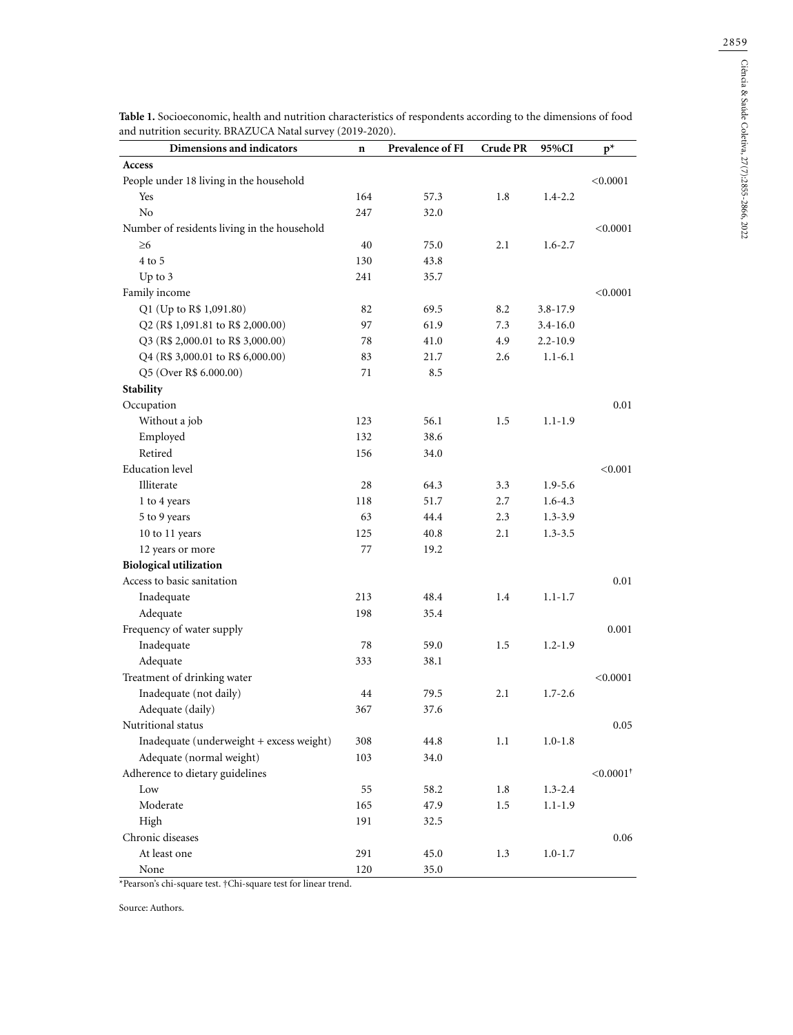| Dimensions and indicators                   | $\mathbf n$ | Prevalence of FI | <b>Crude PR</b> | 95%CI        | $p^*$                   |
|---------------------------------------------|-------------|------------------|-----------------|--------------|-------------------------|
| Access                                      |             |                  |                 |              |                         |
| People under 18 living in the household     |             |                  |                 |              | < 0.0001                |
| Yes                                         | 164         | 57.3             | 1.8             | $1.4 - 2.2$  |                         |
| No                                          | 247         | 32.0             |                 |              |                         |
| Number of residents living in the household |             |                  |                 |              | < 0.0001                |
| $\geq 6$                                    | 40          | 75.0             | 2.1             | $1.6 - 2.7$  |                         |
| 4 to 5                                      | 130         | 43.8             |                 |              |                         |
| Up to 3                                     | 241         | 35.7             |                 |              |                         |
| Family income                               |             |                  |                 |              | < 0.0001                |
| Q1 (Up to R\$ 1,091.80)                     | 82          | 69.5             | 8.2             | 3.8-17.9     |                         |
| Q2 (R\$ 1,091.81 to R\$ 2,000.00)           | 97          | 61.9             | 7.3             | $3.4 - 16.0$ |                         |
| Q3 (R\$ 2,000.01 to R\$ 3,000.00)           | 78          | 41.0             | 4.9             | $2.2 - 10.9$ |                         |
| Q4 (R\$ 3,000.01 to R\$ 6,000.00)           | 83          | 21.7             | 2.6             | $1.1 - 6.1$  |                         |
| Q5 (Over R\$ 6.000.00)                      | 71          | 8.5              |                 |              |                         |
| Stability                                   |             |                  |                 |              |                         |
| Occupation                                  |             |                  |                 |              | 0.01                    |
| Without a job                               | 123         | 56.1             | 1.5             | $1.1 - 1.9$  |                         |
| Employed                                    | 132         | 38.6             |                 |              |                         |
| Retired                                     | 156         | 34.0             |                 |              |                         |
| <b>Education</b> level                      |             |                  |                 |              | < 0.001                 |
| Illiterate                                  | 28          | 64.3             | 3.3             | $1.9 - 5.6$  |                         |
| 1 to 4 years                                | 118         | 51.7             | 2.7             | $1.6 - 4.3$  |                         |
| 5 to 9 years                                | 63          | 44.4             | 2.3             | $1.3 - 3.9$  |                         |
| 10 to 11 years                              | 125         | $40.8\,$         | 2.1             | $1.3 - 3.5$  |                         |
| 12 years or more                            | 77          | 19.2             |                 |              |                         |
| <b>Biological utilization</b>               |             |                  |                 |              |                         |
| Access to basic sanitation                  |             |                  |                 |              | 0.01                    |
| Inadequate                                  | 213         | 48.4             | 1.4             | $1.1 - 1.7$  |                         |
| Adequate                                    | 198         | 35.4             |                 |              |                         |
| Frequency of water supply                   |             |                  |                 |              | 0.001                   |
| Inadequate                                  | 78          | 59.0             | 1.5             | $1.2 - 1.9$  |                         |
| Adequate                                    | 333         | 38.1             |                 |              |                         |
| Treatment of drinking water                 |             |                  |                 |              | < 0.0001                |
| Inadequate (not daily)                      | 44          | 79.5             | 2.1             | $1.7 - 2.6$  |                         |
| Adequate (daily)                            | 367         | 37.6             |                 |              |                         |
| Nutritional status                          |             |                  |                 |              | 0.05                    |
| Inadequate (underweight + excess weight)    | 308         | 44.8             | 1.1             | $1.0 - 1.8$  |                         |
| Adequate (normal weight)                    | 103         | 34.0             |                 |              |                         |
| Adherence to dietary guidelines             |             |                  |                 |              | $< 0.0001$ <sup>+</sup> |
| Low                                         | 55          | 58.2             | 1.8             | $1.3 - 2.4$  |                         |
| Moderate                                    | 165         | 47.9             | 1.5             | $1.1 - 1.9$  |                         |
| High                                        | 191         | 32.5             |                 |              |                         |
| Chronic diseases                            |             |                  |                 |              | 0.06                    |
| At least one                                | 291         | 45.0             | 1.3             | $1.0 - 1.7$  |                         |

**Table 1.** Socioeconomic, health and nutrition characteristics of respondents according to the dimensions of food and nutrition security. BRAZUCA Natal survey (2019-2020).

\*Pearson's chi-square test. †Chi-square test for linear trend.

None 120 35.0

Source: Authors.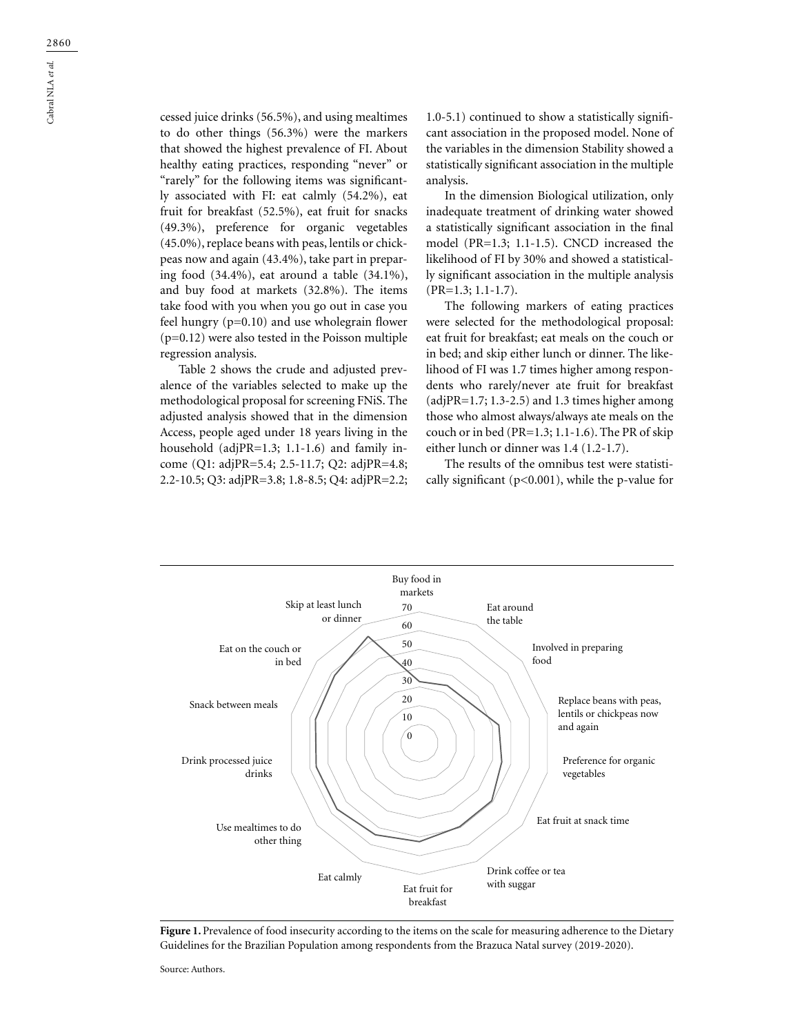cessed juice drinks (56.5%), and using mealtimes to do other things (56.3%) were the markers that showed the highest prevalence of FI. About healthy eating practices, responding "never" or "rarely" for the following items was significantly associated with FI: eat calmly (54.2%), eat fruit for breakfast (52.5%), eat fruit for snacks (49.3%), preference for organic vegetables (45.0%), replace beans with peas, lentils or chickpeas now and again (43.4%), take part in preparing food (34.4%), eat around a table (34.1%), and buy food at markets (32.8%). The items take food with you when you go out in case you feel hungry (p=0.10) and use wholegrain flower (p=0.12) were also tested in the Poisson multiple regression analysis.

Table 2 shows the crude and adjusted prevalence of the variables selected to make up the methodological proposal for screening FNiS. The adjusted analysis showed that in the dimension Access, people aged under 18 years living in the household (adjPR=1.3; 1.1-1.6) and family income (Q1: adjPR=5.4; 2.5-11.7; Q2: adjPR=4.8; 2.2-10.5; Q3: adjPR=3.8; 1.8-8.5; Q4: adjPR=2.2; 1.0-5.1) continued to show a statistically significant association in the proposed model. None of the variables in the dimension Stability showed a statistically significant association in the multiple analysis.

In the dimension Biological utilization, only inadequate treatment of drinking water showed a statistically significant association in the final model (PR=1.3; 1.1-1.5). CNCD increased the likelihood of FI by 30% and showed a statistically significant association in the multiple analysis (PR=1.3; 1.1-1.7).

The following markers of eating practices were selected for the methodological proposal: eat fruit for breakfast; eat meals on the couch or in bed; and skip either lunch or dinner. The likelihood of FI was 1.7 times higher among respondents who rarely/never ate fruit for breakfast (adjPR=1.7; 1.3-2.5) and 1.3 times higher among those who almost always/always ate meals on the couch or in bed (PR=1.3; 1.1-1.6). The PR of skip either lunch or dinner was 1.4 (1.2-1.7).

The results of the omnibus test were statistically significant (p<0.001), while the p-value for



Figure 1. Prevalence of food insecurity according to the items on the scale for measuring adherence to the Dietary Guidelines for the Brazilian Population among respondents from the Brazuca Natal survey (2019-2020).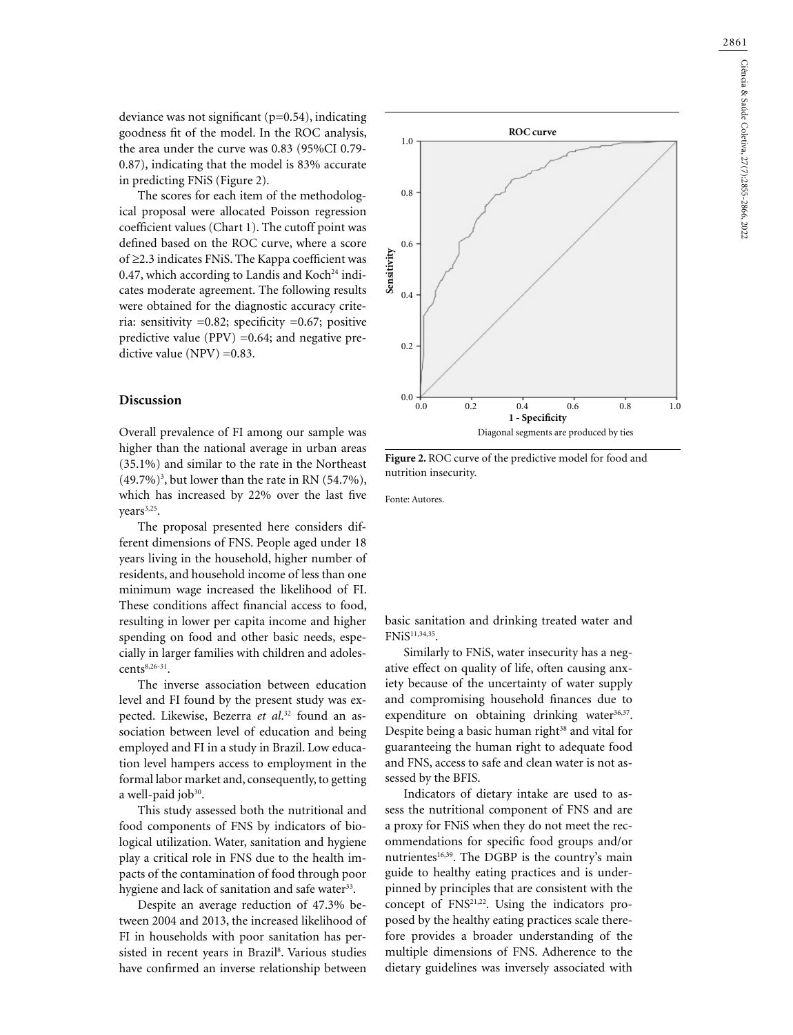deviance was not significant (p=0.54), indicating goodness fit of the model. In the ROC analysis, the area under the curve was 0.83 (95%CI 0.79- 0.87), indicating that the model is 83% accurate in predicting FNiS (Figure 2).

The scores for each item of the methodological proposal were allocated Poisson regression coefficient values (Chart 1). The cutoff point was defined based on the ROC curve, where a score of ≥2.3 indicates FNiS. The Kappa coefficient was 0.47, which according to Landis and Koch<sup>24</sup> indicates moderate agreement. The following results were obtained for the diagnostic accuracy criteria: sensitivity =0.82; specificity =0.67; positive predictive value (PPV)  $=0.64$ ; and negative predictive value (NPV) =0.83.

### **Discussion**

Overall prevalence of FI among our sample was higher than the national average in urban areas (35.1%) and similar to the rate in the Northeast  $(49.7\%)$ <sup>3</sup>, but lower than the rate in RN  $(54.7\%)$ , which has increased by 22% over the last five years<sup>3,25</sup>.

The proposal presented here considers different dimensions of FNS. People aged under 18 years living in the household, higher number of residents, and household income of less than one minimum wage increased the likelihood of FI. These conditions affect financial access to food, resulting in lower per capita income and higher spending on food and other basic needs, especially in larger families with children and adoles $cents<sup>8,26-31</sup>$ .

The inverse association between education level and FI found by the present study was expected. Likewise, Bezerra *et al*. 32 found an association between level of education and being employed and FI in a study in Brazil. Low education level hampers access to employment in the formal labor market and, consequently, to getting a well-paid  $job^{30}$ .

This study assessed both the nutritional and food components of FNS by indicators of biological utilization. Water, sanitation and hygiene play a critical role in FNS due to the health impacts of the contamination of food through poor hygiene and lack of sanitation and safe water<sup>33</sup>.

Despite an average reduction of 47.3% between 2004 and 2013, the increased likelihood of FI in households with poor sanitation has persisted in recent years in Brazil<sup>8</sup>. Various studies have confirmed an inverse relationship between



**Figure 2.** ROC curve of the predictive model for food and nutrition insecurity.

Fonte: Autores.

basic sanitation and drinking treated water and FNiS11,34,35.

Similarly to FNiS, water insecurity has a negative effect on quality of life, often causing anxiety because of the uncertainty of water supply and compromising household finances due to expenditure on obtaining drinking water<sup>36,37</sup>. Despite being a basic human right<sup>38</sup> and vital for guaranteeing the human right to adequate food and FNS, access to safe and clean water is not assessed by the BFIS.

Indicators of dietary intake are used to assess the nutritional component of FNS and are a proxy for FNiS when they do not meet the recommendations for specific food groups and/or nutrientes<sup>16,39</sup>. The DGBP is the country's main guide to healthy eating practices and is underpinned by principles that are consistent with the concept of FNS<sup>21,22</sup>. Using the indicators proposed by the healthy eating practices scale therefore provides a broader understanding of the multiple dimensions of FNS. Adherence to the dietary guidelines was inversely associated with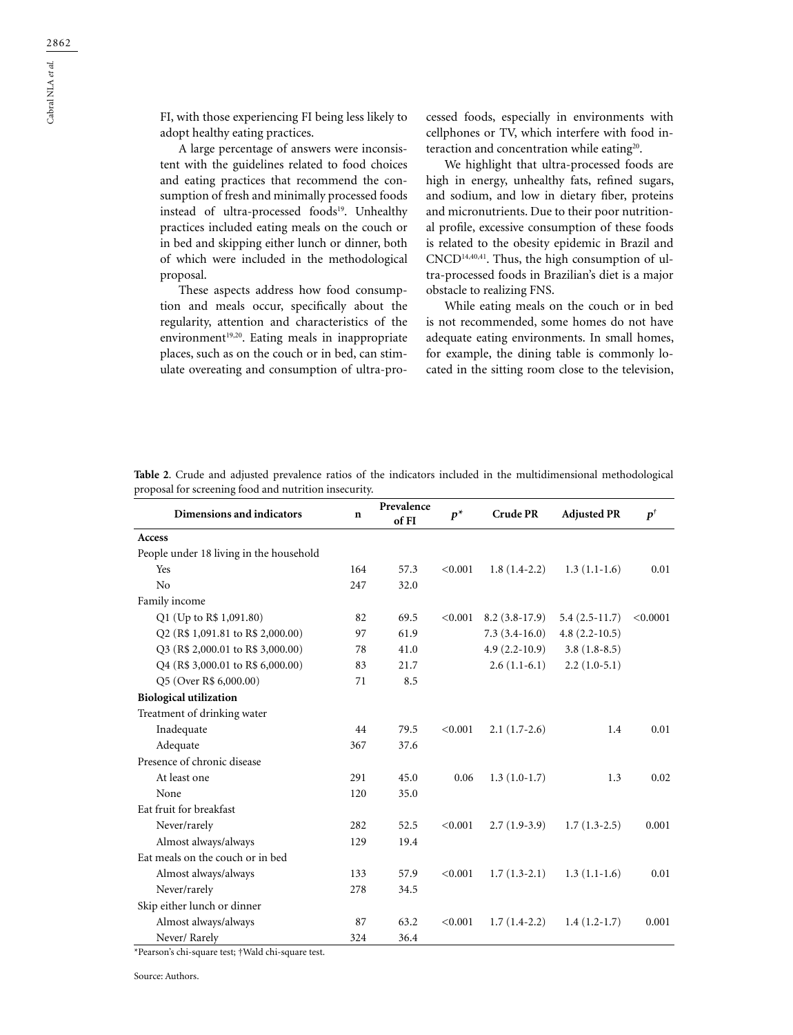FI, with those experiencing FI being less likely to adopt healthy eating practices.

A large percentage of answers were inconsistent with the guidelines related to food choices and eating practices that recommend the consumption of fresh and minimally processed foods instead of ultra-processed foods<sup>19</sup>. Unhealthy practices included eating meals on the couch or in bed and skipping either lunch or dinner, both of which were included in the methodological proposal.

These aspects address how food consumption and meals occur, specifically about the regularity, attention and characteristics of the environment<sup>19,20</sup>. Eating meals in inappropriate places, such as on the couch or in bed, can stimulate overeating and consumption of ultra-processed foods, especially in environments with cellphones or TV, which interfere with food interaction and concentration while eating<sup>20</sup>.

We highlight that ultra-processed foods are high in energy, unhealthy fats, refined sugars, and sodium, and low in dietary fiber, proteins and micronutrients. Due to their poor nutritional profile, excessive consumption of these foods is related to the obesity epidemic in Brazil and CNCD14,40,41. Thus, the high consumption of ultra-processed foods in Brazilian's diet is a major obstacle to realizing FNS.

While eating meals on the couch or in bed is not recommended, some homes do not have adequate eating environments. In small homes, for example, the dining table is commonly located in the sitting room close to the television,

| Dimensions and indicators               | $\mathbf n$ | Prevalence<br>of FI | $p^*$   | <b>Crude PR</b> | <b>Adjusted PR</b> | $p^{t}$  |
|-----------------------------------------|-------------|---------------------|---------|-----------------|--------------------|----------|
| Access                                  |             |                     |         |                 |                    |          |
| People under 18 living in the household |             |                     |         |                 |                    |          |
| Yes                                     | 164         | 57.3                | < 0.001 | $1.8(1.4-2.2)$  | $1.3(1.1-1.6)$     | 0.01     |
| No                                      | 247         | 32.0                |         |                 |                    |          |
| Family income                           |             |                     |         |                 |                    |          |
| Q1 (Up to R\$ 1,091.80)                 | 82          | 69.5                | < 0.001 | $8.2(3.8-17.9)$ | $5.4(2.5-11.7)$    | < 0.0001 |
| Q2 (R\$ 1,091.81 to R\$ 2,000.00)       | 97          | 61.9                |         | $7.3(3.4-16.0)$ | $4.8(2.2 - 10.5)$  |          |
| Q3 (R\$ 2,000.01 to R\$ 3,000.00)       | 78          | 41.0                |         | $4.9(2.2-10.9)$ | $3.8(1.8-8.5)$     |          |
| Q4 (R\$ 3,000.01 to R\$ 6,000.00)       | 83          | 21.7                |         | $2.6(1.1-6.1)$  | $2.2(1.0-5.1)$     |          |
| Q5 (Over R\$ 6,000.00)                  | 71          | 8.5                 |         |                 |                    |          |
| <b>Biological utilization</b>           |             |                     |         |                 |                    |          |
| Treatment of drinking water             |             |                     |         |                 |                    |          |
| Inadequate                              | 44          | 79.5                | < 0.001 | $2.1(1.7-2.6)$  | 1.4                | 0.01     |
| Adequate                                | 367         | 37.6                |         |                 |                    |          |
| Presence of chronic disease             |             |                     |         |                 |                    |          |
| At least one                            | 291         | 45.0                | 0.06    | $1.3(1.0-1.7)$  | 1.3                | 0.02     |
| None                                    | 120         | 35.0                |         |                 |                    |          |
| Eat fruit for breakfast                 |             |                     |         |                 |                    |          |
| Never/rarely                            | 282         | 52.5                | < 0.001 | $2.7(1.9-3.9)$  | $1.7(1.3-2.5)$     | 0.001    |
| Almost always/always                    | 129         | 19.4                |         |                 |                    |          |
| Eat meals on the couch or in bed        |             |                     |         |                 |                    |          |
| Almost always/always                    | 133         | 57.9                | < 0.001 | $1.7(1.3-2.1)$  | $1.3(1.1-1.6)$     | 0.01     |
| Never/rarely                            | 278         | 34.5                |         |                 |                    |          |
| Skip either lunch or dinner             |             |                     |         |                 |                    |          |
| Almost always/always                    | 87          | 63.2                | < 0.001 | $1.7(1.4-2.2)$  | $1.4(1.2-1.7)$     | 0.001    |
| Never/Rarely                            | 324         | 36.4                |         |                 |                    |          |

**Table 2**. Crude and adjusted prevalence ratios of the indicators included in the multidimensional methodological proposal for screening food and nutrition insecurity.

\*Pearson's chi-square test; †Wald chi-square test.

Source: Authors.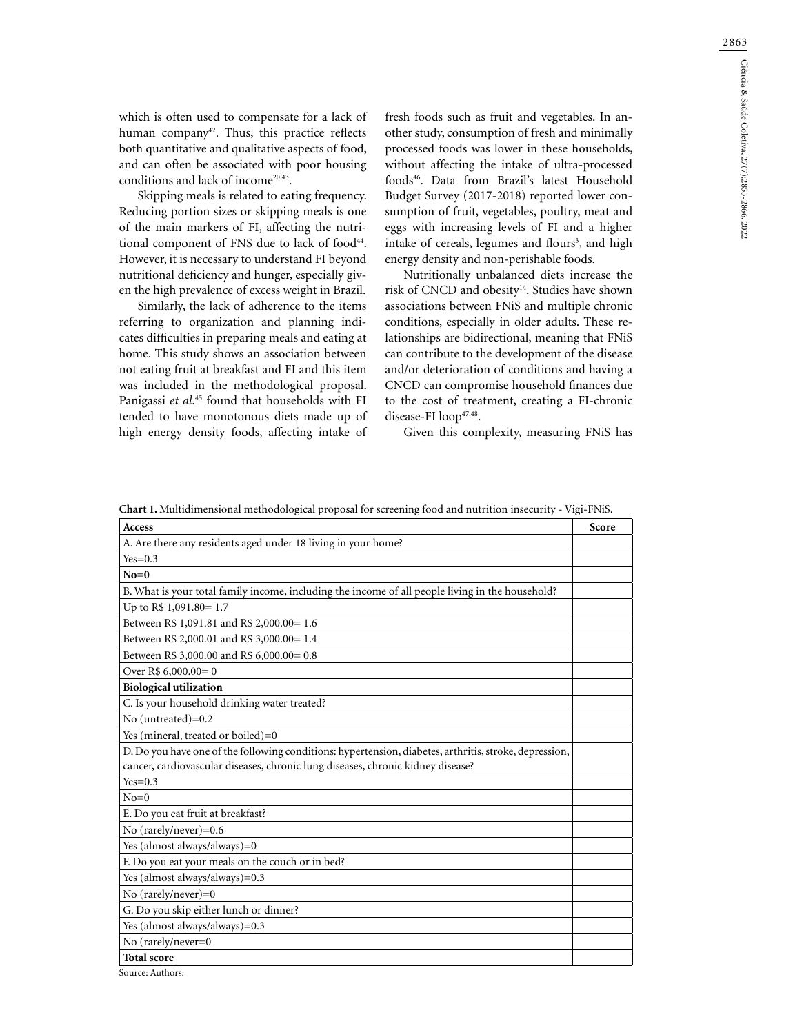2863

which is often used to compensate for a lack of human company<sup>42</sup>. Thus, this practice reflects both quantitative and qualitative aspects of food, and can often be associated with poor housing conditions and lack of income<sup>20.43</sup>.

Skipping meals is related to eating frequency. Reducing portion sizes or skipping meals is one of the main markers of FI, affecting the nutritional component of FNS due to lack of food<sup>44</sup>. However, it is necessary to understand FI beyond nutritional deficiency and hunger, especially given the high prevalence of excess weight in Brazil.

Similarly, the lack of adherence to the items referring to organization and planning indicates difficulties in preparing meals and eating at home. This study shows an association between not eating fruit at breakfast and FI and this item was included in the methodological proposal. Panigassi *et al*. 45 found that households with FI tended to have monotonous diets made up of high energy density foods, affecting intake of

fresh foods such as fruit and vegetables. In another study, consumption of fresh and minimally processed foods was lower in these households, without affecting the intake of ultra-processed foods46. Data from Brazil's latest Household Budget Survey (2017-2018) reported lower consumption of fruit, vegetables, poultry, meat and eggs with increasing levels of FI and a higher intake of cereals, legumes and flours<sup>3</sup>, and high energy density and non-perishable foods.

Nutritionally unbalanced diets increase the risk of CNCD and obesity<sup>14</sup>. Studies have shown associations between FNiS and multiple chronic conditions, especially in older adults. These relationships are bidirectional, meaning that FNiS can contribute to the development of the disease and/or deterioration of conditions and having a CNCD can compromise household finances due to the cost of treatment, creating a FI-chronic disease-FI loop47,48.

Given this complexity, measuring FNiS has

**Chart 1.** Multidimensional methodological proposal for screening food and nutrition insecurity - Vigi-FNiS.

| <b>Access</b>                                                                                          | Score |
|--------------------------------------------------------------------------------------------------------|-------|
| A. Are there any residents aged under 18 living in your home?                                          |       |
| $Yes=0.3$                                                                                              |       |
| $No=0$                                                                                                 |       |
| B. What is your total family income, including the income of all people living in the household?       |       |
| Up to R\$ 1,091.80= 1.7                                                                                |       |
| Between R\$ 1,091.81 and R\$ 2,000.00= 1.6                                                             |       |
| Between R\$ 2,000.01 and R\$ 3,000.00= 1.4                                                             |       |
| Between R\$ 3,000.00 and R\$ 6,000.00= 0.8                                                             |       |
| Over R\$ $6,000.00 = 0$                                                                                |       |
| <b>Biological utilization</b>                                                                          |       |
| C. Is your household drinking water treated?                                                           |       |
| No (untreated)=0.2                                                                                     |       |
| Yes (mineral, treated or boiled)=0                                                                     |       |
| D. Do you have one of the following conditions: hypertension, diabetes, arthritis, stroke, depression, |       |
| cancer, cardiovascular diseases, chronic lung diseases, chronic kidney disease?                        |       |
| $Yes=0.3$                                                                                              |       |
| $No=0$                                                                                                 |       |
| E. Do you eat fruit at breakfast?                                                                      |       |
| No $(rarely/never)=0.6$                                                                                |       |
| Yes (almost always/always)=0                                                                           |       |
| F. Do you eat your meals on the couch or in bed?                                                       |       |
| Yes (almost always/always)=0.3                                                                         |       |
| No (rarely/never)=0                                                                                    |       |
| G. Do you skip either lunch or dinner?                                                                 |       |
| Yes (almost always/always)=0.3                                                                         |       |
| No (rarely/never=0                                                                                     |       |
| <b>Total score</b>                                                                                     |       |

Source: Authors.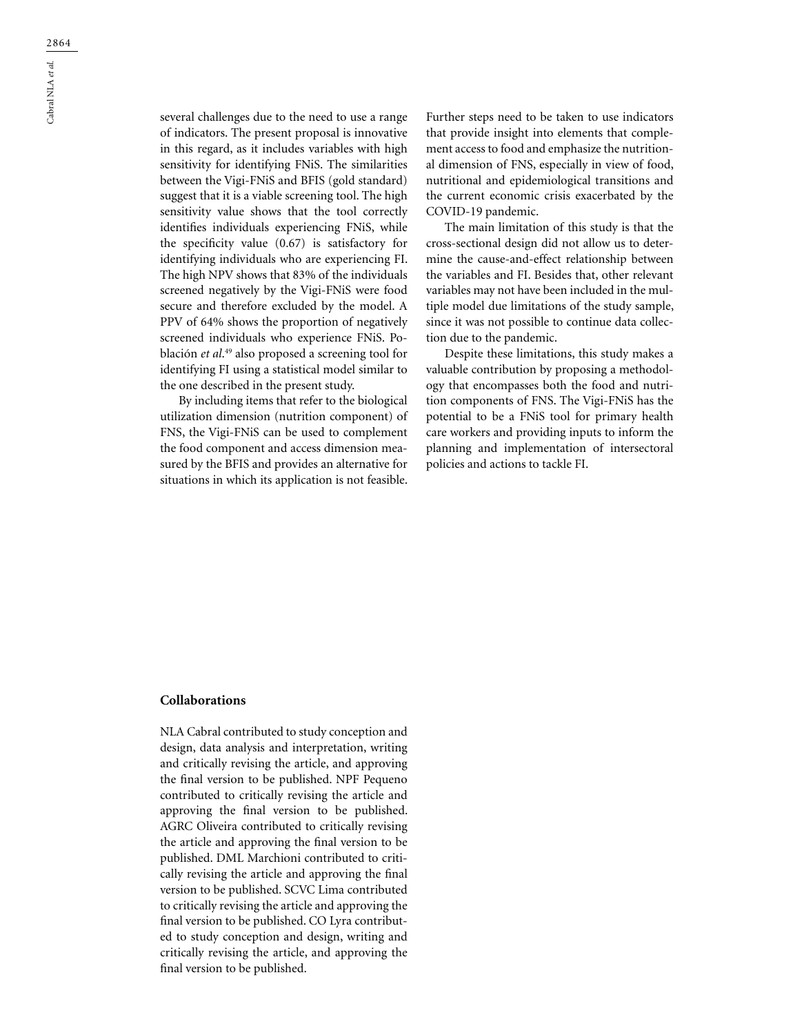several challenges due to the need to use a range of indicators. The present proposal is innovative in this regard, as it includes variables with high sensitivity for identifying FNiS. The similarities between the Vigi-FNiS and BFIS (gold standard) suggest that it is a viable screening tool. The high sensitivity value shows that the tool correctly identifies individuals experiencing FNiS, while the specificity value (0.67) is satisfactory for identifying individuals who are experiencing FI. The high NPV shows that 83% of the individuals screened negatively by the Vigi-FNiS were food secure and therefore excluded by the model. A PPV of 64% shows the proportion of negatively screened individuals who experience FNiS. Población *et al*. 49 also proposed a screening tool for identifying FI using a statistical model similar to the one described in the present study.

By including items that refer to the biological utilization dimension (nutrition component) of FNS, the Vigi-FNiS can be used to complement the food component and access dimension measured by the BFIS and provides an alternative for situations in which its application is not feasible.

Further steps need to be taken to use indicators that provide insight into elements that complement access to food and emphasize the nutritional dimension of FNS, especially in view of food, nutritional and epidemiological transitions and the current economic crisis exacerbated by the COVID-19 pandemic.

The main limitation of this study is that the cross-sectional design did not allow us to determine the cause-and-effect relationship between the variables and FI. Besides that, other relevant variables may not have been included in the multiple model due limitations of the study sample, since it was not possible to continue data collection due to the pandemic.

Despite these limitations, this study makes a valuable contribution by proposing a methodology that encompasses both the food and nutrition components of FNS. The Vigi-FNiS has the potential to be a FNiS tool for primary health care workers and providing inputs to inform the planning and implementation of intersectoral policies and actions to tackle FI.

#### **Collaborations**

NLA Cabral contributed to study conception and design, data analysis and interpretation, writing and critically revising the article, and approving the final version to be published. NPF Pequeno contributed to critically revising the article and approving the final version to be published. AGRC Oliveira contributed to critically revising the article and approving the final version to be published. DML Marchioni contributed to critically revising the article and approving the final version to be published. SCVC Lima contributed to critically revising the article and approving the final version to be published. CO Lyra contributed to study conception and design, writing and critically revising the article, and approving the final version to be published.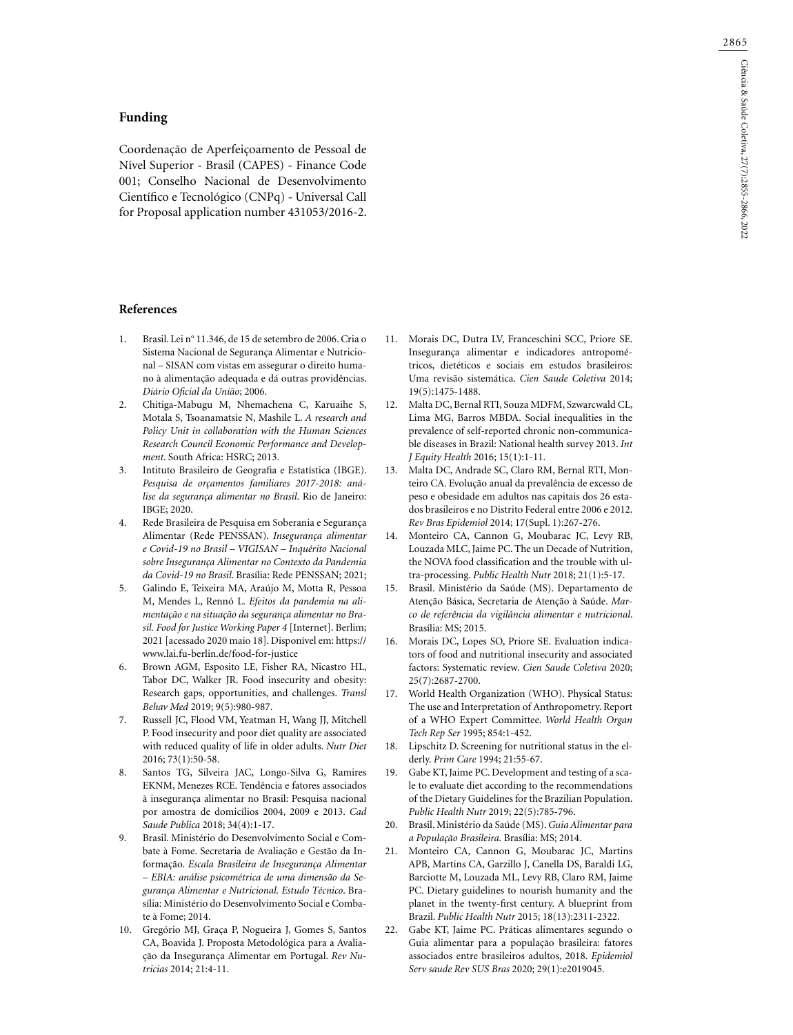### **Funding**

Coordenação de Aperfeiçoamento de Pessoal de Nível Superior - Brasil (CAPES) - Finance Code 001; Conselho Nacional de Desenvolvimento Científico e Tecnológico (CNPq) - Universal Call for Proposal application number 431053/2016-2.

### **References**

- 1. Brasil. Lei nº 11.346, de 15 de setembro de 2006. Cria o Sistema Nacional de Segurança Alimentar e Nutricional – SISAN com vistas em assegurar o direito humano à alimentação adequada e dá outras providências. *Diário Oficial da União*; 2006.
- 2. Chitiga-Mabugu M, Nhemachena C, Karuaihe S, Motala S, Tsoanamatsie N, Mashile L. *A research and Policy Unit in collaboration with the Human Sciences Research Council Economic Performance and Development*. South Africa: HSRC; 2013.
- 3. Intituto Brasileiro de Geografia e Estatística (IBGE). *Pesquisa de orçamentos familiares 2017-2018: análise da segurança alimentar no Brasil*. Rio de Janeiro: IBGE; 2020.
- 4. Rede Brasileira de Pesquisa em Soberania e Segurança Alimentar (Rede PENSSAN). *Insegurança alimentar e Covid-19 no Brasil – VIGISAN – Inquérito Nacional sobre Insegurança Alimentar no Contexto da Pandemia da Covid-19 no Brasil*. Brasília: Rede PENSSAN; 2021;
- 5. Galindo E, Teixeira MA, Araújo M, Motta R, Pessoa M, Mendes L, Rennó L. *Efeitos da pandemia na alimentação e na situação da segurança alimentar no Brasil. Food for Justice Working Paper 4* [Internet]. Berlim; 2021 [acessado 2020 maio 18]. Disponível em: https:// www.lai.fu-berlin.de/food-for-justice
- 6. Brown AGM, Esposito LE, Fisher RA, Nicastro HL, Tabor DC, Walker JR. Food insecurity and obesity: Research gaps, opportunities, and challenges. *Transl Behav Med* 2019; 9(5):980-987.
- 7. Russell JC, Flood VM, Yeatman H, Wang JJ, Mitchell P. Food insecurity and poor diet quality are associated with reduced quality of life in older adults. *Nutr Diet* 2016; 73(1):50-58.
- 8. Santos TG, Silveira JAC, Longo-Silva G, Ramires EKNM, Menezes RCE. Tendência e fatores associados à insegurança alimentar no Brasil: Pesquisa nacional por amostra de domicílios 2004, 2009 e 2013. *Cad Saude Publica* 2018; 34(4):1-17.
- 9. Brasil. Ministério do Desenvolvimento Social e Combate à Fome. Secretaria de Avaliação e Gestão da Informação. *Escala Brasileira de Insegurança Alimentar – EBIA: análise psicométrica de uma dimensão da Segurança Alimentar e Nutricional. Estudo Técnico*. Brasília: Ministério do Desenvolvimento Social e Combate à Fome; 2014.
- 10. Gregório MJ, Graça P, Nogueira J, Gomes S, Santos CA, Boavida J. Proposta Metodológica para a Avaliação da Insegurança Alimentar em Portugal. *Rev Nutricias* 2014; 21:4-11.
- 11. Morais DC, Dutra LV, Franceschini SCC, Priore SE. Insegurança alimentar e indicadores antropométricos, dietéticos e sociais em estudos brasileiros: Uma revisão sistemática. *Cien Saude Coletiva* 2014; 19(5):1475-1488.
- 12. Malta DC, Bernal RTI, Souza MDFM, Szwarcwald CL, Lima MG, Barros MBDA. Social inequalities in the prevalence of self-reported chronic non-communicable diseases in Brazil: National health survey 2013. *Int J Equity Health* 2016; 15(1):1-11.
- 13. Malta DC, Andrade SC, Claro RM, Bernal RTI, Monteiro CA. Evolução anual da prevalência de excesso de peso e obesidade em adultos nas capitais dos 26 estados brasileiros e no Distrito Federal entre 2006 e 2012. *Rev Bras Epidemiol* 2014; 17(Supl. 1):267-276.
- 14. Monteiro CA, Cannon G, Moubarac JC, Levy RB, Louzada MLC, Jaime PC. The un Decade of Nutrition, the NOVA food classification and the trouble with ultra-processing. *Public Health Nutr* 2018; 21(1):5-17.
- 15. Brasil. Ministério da Saúde (MS). Departamento de Atenção Básica, Secretaria de Atenção à Saúde. *Marco de referência da vigilância alimentar e nutricional*. Brasília: MS; 2015.
- 16. Morais DC, Lopes SO, Priore SE. Evaluation indicators of food and nutritional insecurity and associated factors: Systematic review. *Cien Saude Coletiva* 2020; 25(7):2687-2700.
- 17. World Health Organization (WHO). Physical Status: The use and Interpretation of Anthropometry. Report of a WHO Expert Committee. *World Health Organ Tech Rep Ser* 1995; 854:1-452.
- 18. Lipschitz D. Screening for nutritional status in the elderly. *Prim Care* 1994; 21:55-67.
- 19. Gabe KT, Jaime PC. Development and testing of a scale to evaluate diet according to the recommendations of the Dietary Guidelines for the Brazilian Population. *Public Health Nutr* 2019; 22(5):785-796.
- 20. Brasil. Ministério da Saúde (MS). *Guia Alimentar para a População Brasileira.* Brasília: MS; 2014.
- 21. Monteiro CA, Cannon G, Moubarac JC, Martins APB, Martins CA, Garzillo J, Canella DS, Baraldi LG, Barciotte M, Louzada ML, Levy RB, Claro RM, Jaime PC. Dietary guidelines to nourish humanity and the planet in the twenty-first century. A blueprint from Brazil. *Public Health Nutr* 2015; 18(13):2311-2322.
- 22. Gabe KT, Jaime PC. Práticas alimentares segundo o Guia alimentar para a população brasileira: fatores associados entre brasileiros adultos, 2018. *Epidemiol Serv saude Rev SUS Bras* 2020; 29(1):e2019045.